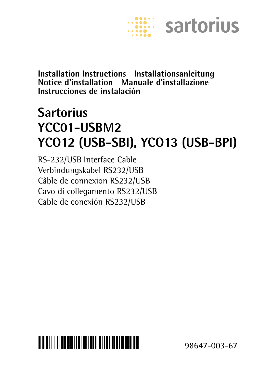

**Installation Instructions | Installationsanleitung Notice d'installation | Manuale d'installazione Instrucciones de instalación**

## **Sartorius YCC01-USBM2 YCO12 (USB-SBI), YCO13 (USB-BPI)**

RS-232/USB Interface Cable Verbindungskabel RS232/USB Câble de connexion RS232/USB Cavo di collegamento RS232/USB Cable de conexión RS232/USB



98647-003-67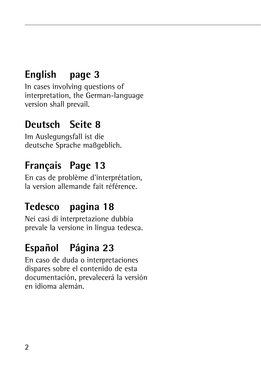### **English page 3**

In cases involving questions of interpretation, the German-language version shall prevail.

### **Deutsch Seite 8**

Im Auslegungsfall ist die deutsche Sprache maßgeblich.

### **Français Page 13**

En cas de problème d'interprétation, la version allemande fait référence.

### **Tedesco pagina 18**

Nei casi di interpretazione dubbia prevale la versione in lingua tedesca.

### **Español Página 23**

En caso de duda o interpretaciones dispares sobre el contenido de esta documentación, prevalecerá la versión en idioma alemán.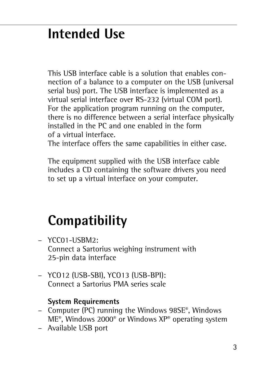## **Intended Use**

This USB interface cable is a solution that enables connection of a balance to a computer on the USB (universal serial bus) port. The USB interface is implemented as a virtual serial interface over RS-232 (virtual COM port). For the application program running on the computer, there is no difference between a serial interface physically installed in the PC and one enabled in the form of a virtual interface.

The interface offers the same capabilities in either case.

The equipment supplied with the USB interface cable includes a CD containing the software drivers you need to set up a virtual interface on your computer.

# **Compatibility**

- YCC01-USBM2: Connect a Sartorius weighing instrument with 25-pin data interface
- YCO12 (USB-SBI), YCO13 (USB-BPI): Connect a Sartorius PMA series scale

#### **System Requirements**

- Computer (PC) running the Windows 98SE®, Windows ME®, Windows 2000® or Windows XP® operating system
- Available USB port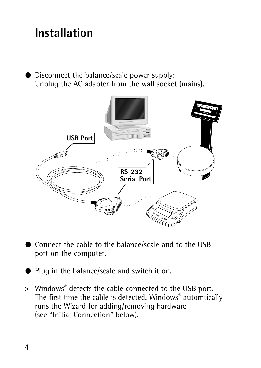### **Installation**

● Disconnect the balance/scale power supply: Unplug the AC adapter from the wall socket (mains).



- § Connect the cable to the balance/scale and to the USB port on the computer.
- § Plug in the balance/scale and switch it on.
- > Windows® detects the cable connected to the USB port. The first time the cable is detected, Windows® automtically runs the Wizard for adding/removing hardware (see "Initial Connection" below).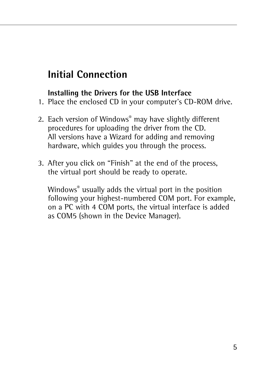### **Initial Connection**

### **Installing the Drivers for the USB Interface**

- 1. Place the enclosed CD in your computer's CD-ROM drive.
- 2. Each version of Windows® may have slightly different procedures for uploading the driver from the CD. All versions have a Wizard for adding and removing hardware, which guides you through the process.
- 3. After you click on "Finish" at the end of the process, the virtual port should be ready to operate.

Windows® usually adds the virtual port in the position following your highest-numbered COM port. For example, on a PC with 4 COM ports, the virtual interface is added as COM5 (shown in the Device Manager).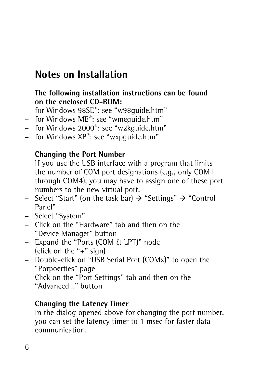### **Notes on Installation**

#### **The following installation instructions can be found on the enclosed CD-ROM:**

- for Windows 98SE®: see "w98guide.htm"
- for Windows ME®: see "wmeguide.htm"
- for Windows 2000®: see "w2kguide.htm"
- $-$  for Windows  $XP^*$ : see "wxpquide.htm"

#### **Changing the Port Number**

If you use the USB interface with a program that limits the number of COM port designations (e.g., only COM1 through COM4), you may have to assign one of these port numbers to the new virtual port.

- Select "Start" (on the task bar)  $\rightarrow$  "Settings"  $\rightarrow$  "Control Panel"
- Select "System"
- Click on the "Hardware" tab and then on the "Device Manager" button
- Expand the "Ports (COM & LPT)" node (click on the "+" sign)
- Double-click on "USB Serial Port (COMx)" to open the "Porpoerties" page
- Click on the "Port Settings" tab and then on the "Advanced…" button

### **Changing the Latency Timer**

In the dialog opened above for changing the port number, you can set the latency timer to 1 msec for faster data communication.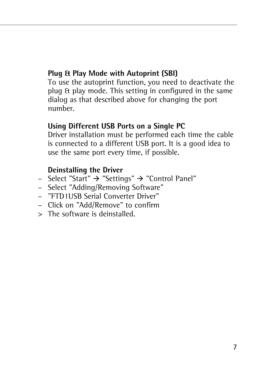### **Plug & Play Mode with Autoprint (SBI)**

To use the autoprint function, you need to deactivate the plug & play mode. This setting in configured in the same dialog as that described above for changing the port number.

#### **Using Different USB Ports on a Single PC**

Driver installation must be performed each time the cable is connected to a different USB port. It is a good idea to use the same port every time, if possible.

#### **Deinstalling the Driver**

- Select "Start" → "Settings" → "Control Panel"
- Select "Adding/Removing Software"
- "FTD1USB Serial Converter Driver"
- Click on "Add/Remove" to confirm
- > The software is deinstalled.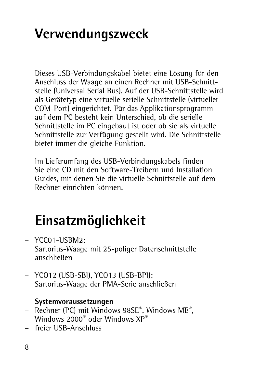# **Verwendungszweck**

Dieses USB-Verbindungskabel bietet eine Lösung für den Anschluss der Waage an einen Rechner mit USB-Schnittstelle (Universal Serial Bus). Auf der USB-Schnittstelle wird als Gerätetyp eine virtuelle serielle Schnittstelle (virtueller COM-Port) eingerichtet. Für das Applikationsprogramm auf dem PC besteht kein Unterschied, ob die serielle Schnittstelle im PC eingebaut ist oder ob sie als virtuelle Schnittstelle zur Verfügung gestellt wird. Die Schnittstelle bietet immer die gleiche Funktion.

Im Lieferumfang des USB-Verbindungskabels finden Sie eine CD mit den Software-Treibern und Installation Guides, mit denen Sie die virtuelle Schnittstelle auf dem Rechner einrichten können.

# **Einsatzmöglichkeit**

- YCC01-USBM2: Sartorius-Waage mit 25-poliger Datenschnittstelle anschließen
- YCO12 (USB-SBI), YCO13 (USB-BPI): Sartorius-Waage der PMA-Serie anschließen

### **Systemvoraussetzungen**

- Rechner (PC) mit Windows 98SE®, Windows ME®, Windows 2000® oder Windows XP®
- freier USB-Anschluss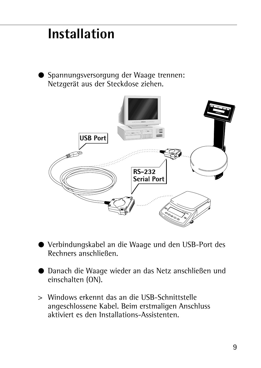## **Installation**

§ Spannungsversorgung der Waage trennen: Netzgerät aus der Steckdose ziehen.



- § Verbindungskabel an die Waage und den USB-Port des Rechners anschließen.
- Danach die Waage wieder an das Netz anschließen und einschalten (ON).
- > Windows erkennt das an die USB-Schnittstelle angeschlossene Kabel. Beim erstmaligen Anschluss aktiviert es den Installations-Assistenten.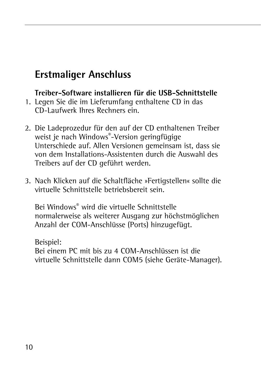### **Erstmaliger Anschluss**

### **Treiber-Software installieren für die USB-Schnittstelle**

- 1. Legen Sie die im Lieferumfang enthaltene CD in das CD-Laufwerk Ihres Rechners ein.
- 2. Die Ladeprozedur für den auf der CD enthaltenen Treiber weist je nach Windows®-Version geringfügige Unterschiede auf. Allen Versionen gemeinsam ist, dass sie von dem Installations-Assistenten durch die Auswahl des Treibers auf der CD geführt werden.
- 3. Nach Klicken auf die Schaltfläche »Fertigstellen« sollte die virtuelle Schnittstelle betriebsbereit sein.

Bei Windows® wird die virtuelle Schnittstelle normalerweise als weiterer Ausgang zur höchstmöglichen Anzahl der COM-Anschlüsse (Ports) hinzugefügt.

Beispiel: Bei einem PC mit bis zu 4 COM-Anschlüssen ist die virtuelle Schnittstelle dann COM5 (siehe Geräte-Manager).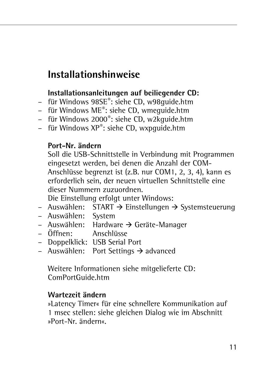### **Installationshinweise**

### **Installationsanleitungen auf beiliegender CD:**

- für Windows 98SE®: siehe CD, w98guide.htm
- für Windows ME®: siehe CD, wmeguide.htm
- für Windows 2000®: siehe CD, w2kguide.htm
- für Windows XP®: siehe CD, wxpguide.htm

#### **Port-Nr. ändern**

Soll die USB-Schnittstelle in Verbindung mit Programmen eingesetzt werden, bei denen die Anzahl der COM-Anschlüsse begrenzt ist (z.B. nur COM1, 2, 3, 4), kann es erforderlich sein, der neuen virtuellen Schnittstelle eine dieser Nummern zuzuordnen.

Die Einstellung erfolgt unter Windows:

- $-$  Auswählen: START  $\rightarrow$  Einstellungen  $\rightarrow$  Systemsteuerung
- Auswählen: System
- Auswählen: Hardware  $\rightarrow$  Geräte-Manager
- Öffnen: Anschlüsse
- Doppelklick: USB Serial Port
- $-$  Auswählen: Port Settings  $\rightarrow$  advanced

Weitere Informationen siehe mitgelieferte CD: ComPortGuide.htm

#### **Wartezeit ändern**

»Latency Timer« für eine schnellere Kommunikation auf 1 msec stellen: siehe gleichen Dialog wie im Abschnitt »Port-Nr. ändern«.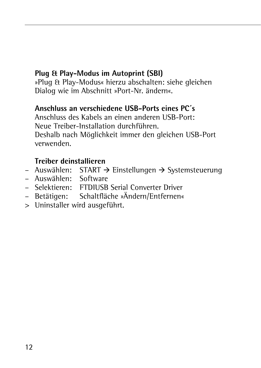### **Plug & Play-Modus im Autoprint (SBI)**

»Plug & Play-Modus« hierzu abschalten: siehe gleichen Dialog wie im Abschnitt »Port-Nr. ändern«.

### **Anschluss an verschiedene USB-Ports eines PC´s**

Anschluss des Kabels an einen anderen USB-Port: Neue Treiber-Installation durchführen. Deshalb nach Möglichkeit immer den gleichen USB-Port verwenden.

### **Treiber deinstallieren**

- $-$  Auswählen: START  $\rightarrow$  Einstellungen  $\rightarrow$  Systemsteuerung
- Auswählen: Software
- Selektieren: FTDIUSB Serial Converter Driver
- Betätigen: Schaltfläche »Ändern/Entfernen«
- > Uninstaller wird ausgeführt.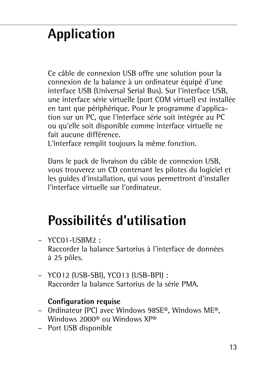# **Application**

Ce câble de connexion USB offre une solution pour la connexion de la balance à un ordinateur équipé d'une interface USB (Universal Serial Bus). Sur l'interface USB, une interface série virtuelle (port COM virtuel) est installée en tant que périphérique. Pour le programme d'application sur un PC, que l'interface série soit intégrée au PC ou qu'elle soit disponible comme interface virtuelle ne fait aucune différence.

L'interface remplit toujours la même fonction.

Dans le pack de livraison du câble de connexion USB, vous trouverez un CD contenant les pilotes du logiciel et les guides d'installation, qui vous permettront d'installer l'interface virtuelle sur l'ordinateur.

## **Possibilités d'utilisation**

- YCC01-USBM2 : Raccorder la balance Sartorius à l'interface de données à 25 pôles.
- YCO12 (USB-SBI), YCO13 (USB-BPI) : Raccorder la balance Sartorius de la série PMA.

### **Configuration requise**

- Ordinateur (PC) avec Windows 98SE®, Windows ME®, Windows 2000® ou Windows XP®
- Port USB disponible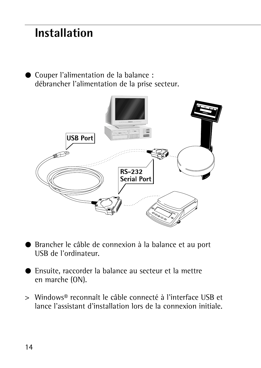### **Installation**

● Couper l'alimentation de la balance : débrancher l'alimentation de la prise secteur.



- § Brancher le câble de connexion à la balance et au port USB de l'ordinateur.
- § Ensuite, raccorder la balance au secteur et la mettre en marche (ON).
- > Windows® reconnaît le câble connecté à l'interface USB et lance l'assistant d'installation lors de la connexion initiale.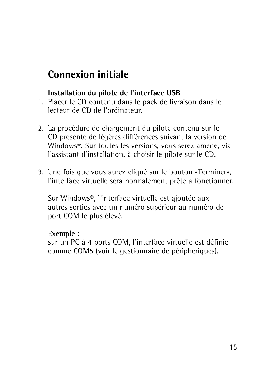### **Connexion initiale**

### **Installation du pilote de l'interface USB**

- 1. Placer le CD contenu dans le pack de livraison dans le lecteur de CD de l'ordinateur.
- 2. La procédure de chargement du pilote contenu sur le CD présente de légères différences suivant la version de Windows®. Sur toutes les versions, vous serez amené, via l'assistant d'installation, à choisir le pilote sur le CD.
- 3. Une fois que vous aurez cliqué sur le bouton «Terminer», l'interface virtuelle sera normalement prête à fonctionner.

Sur Windows®, l'interface virtuelle est ajoutée aux autres sorties avec un numéro supérieur au numéro de port COM le plus élevé.

Exemple : sur un PC à 4 ports COM, l'interface virtuelle est définie comme COM5 (voir le gestionnaire de périphériques).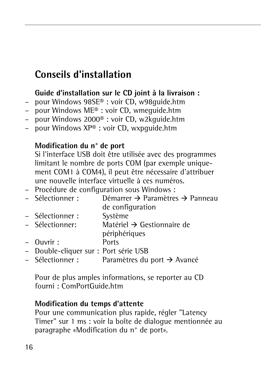### **Conseils d'installation**

### **Guide d'installation sur le CD joint à la livraison :**

- pour Windows 98SE® : voir CD, w98guide.htm
- pour Windows ME® : voir CD, wmeguide.htm
- pour Windows 2000® : voir CD, w2kguide.htm
- pour Windows XP® : voir CD, wxpguide.htm

#### **Modification du n° de port**

Si l'interface USB doit être utilisée avec des programmes limitant le nombre de ports COM (par exemple uniquement COM1 à COM4), il peut être nécessaire d'attribuer une nouvelle interface virtuelle à ces numéros.

- Procédure de configuration sous Windows :
- Sélectionner :  $\rightarrow$  Paramètres  $\rightarrow$  Panneau de configuration
- Sélectionner : Système
- Sélectionner: Matériel  $\rightarrow$  Gestionnaire de
- périphériques
- Ouvrir : Ports
- Double-cliquer sur : Port série USB
- $-$  Sélectionner : Paramètres du port  $\rightarrow$  Avancé

Pour de plus amples informations, se reporter au CD fourni : ComPortGuide.htm

### **Modification du temps d'attente**

Pour une communication plus rapide, régler "Latency Timer" sur 1 ms : voir la boîte de dialogue mentionnée au paragraphe «Modification du n° de port».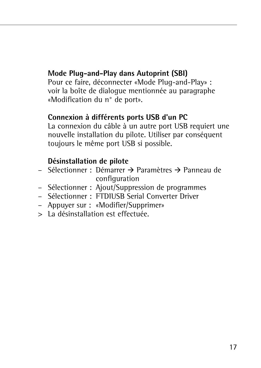### **Mode Plug-and-Play dans Autoprint (SBI)**

Pour ce faire, déconnecter «Mode Plug-and-Play» : voir la boîte de dialogue mentionnée au paragraphe «Modification du n° de port».

### **Connexion à différents ports USB d'un PC**

La connexion du câble à un autre port USB requiert une nouvelle installation du pilote. Utiliser par conséquent toujours le même port USB si possible.

### **Désinstallation de pilote**

- Sélectionner : Démarrer → Paramètres → Panneau de configuration
- Sélectionner : Ajout/Suppression de programmes
- Sélectionner : FTDIUSB Serial Converter Driver
- Appuyer sur : «Modifier/Supprimer»
- > La désinstallation est effectuée.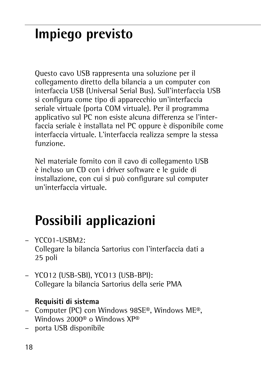# **Impiego previsto**

Questo cavo USB rappresenta una soluzione per il collegamento diretto della bilancia a un computer con interfaccia USB (Universal Serial Bus). Sull'interfaccia USB si configura come tipo di apparecchio un'interfaccia seriale virtuale (porta COM virtuale). Per il programma applicativo sul PC non esiste alcuna differenza se l'interfaccia seriale è installata nel PC oppure è disponibile come interfaccia virtuale. L'interfaccia realizza sempre la stessa funzione.

Nel materiale fornito con il cavo di collegamento USB è incluso un CD con i driver software e le guide di installazione, con cui si può configurare sul computer un'interfaccia virtuale.

# **Possibili applicazioni**

- YCC01-USBM2: Collegare la bilancia Sartorius con l'interfaccia dati a 25 poli
- YCO12 (USB-SBI), YCO13 (USB-BPI): Collegare la bilancia Sartorius della serie PMA

### **Requisiti di sistema**

- Computer (PC) con Windows 98SE®, Windows ME®, Windows 2000® o Windows XP®
- porta USB disponibile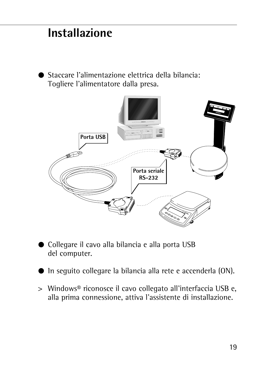### **Installazione**

■ Staccare l'alimentazione elettrica della bilancia: Togliere l'alimentatore dalla presa.



- § Collegare il cavo alla bilancia e alla porta USB del computer.
- In seguito collegare la bilancia alla rete e accenderla (ON).
- > Windows® riconosce il cavo collegato all'interfaccia USB e, alla prima connessione, attiva l'assistente di installazione.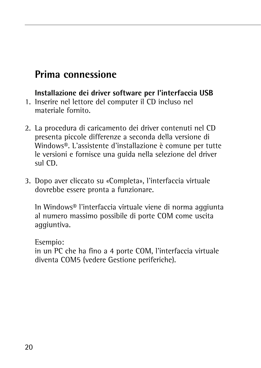### **Prima connessione**

**Installazione dei driver software per l'interfaccia USB** 

- 1. Inserire nel lettore del computer il CD incluso nel materiale fornito.
- 2. La procedura di caricamento dei driver contenuti nel CD presenta piccole differenze a seconda della versione di Windows®. L'assistente d'installazione è comune per tutte le versioni e fornisce una guida nella selezione del driver sul CD.
- 3. Dopo aver cliccato su «Completa», l'interfaccia virtuale dovrebbe essere pronta a funzionare.

In Windows® l'interfaccia virtuale viene di norma aggiunta al numero massimo possibile di porte COM come uscita aggiuntiva.

Esempio:

in un PC che ha fino a 4 porte COM, l'interfaccia virtuale diventa COM5 (vedere Gestione periferiche).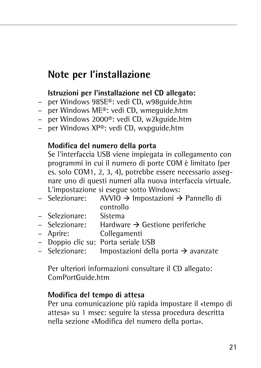### **Note per l'installazione**

#### **Istruzioni per l'installazione nel CD allegato:**

- per Windows 98SE®: vedi CD, w98guide.htm
- per Windows ME®: vedi CD, wmeguide.htm
- per Windows 2000®: vedi CD, w2kguide.htm
- per Windows XP®: vedi CD, wxpguide.htm

#### **Modifica del numero della porta**

Se l'interfaccia USB viene impiegata in collegamento con programmi in cui il numero di porte COM è limitato (per es. solo COM1, 2, 3, 4), potrebbe essere necessario assegnare uno di questi numeri alla nuova interfaccia virtuale. L'impostazione si esegue sotto Windows:

- Selezionare:  $\rightarrow$  Impostazioni  $\rightarrow$  Pannello di controllo
- Selezionare: Sistema
- $-$  Selezionare: Hardware  $\rightarrow$  Gestione periferiche
- Aprire: Collegamenti
- Doppio clic su: Porta seriale USB<br>– Selezionare: Impostazioni della
- Selezionare: Impostazioni della porta  $\rightarrow$  avanzate

Per ulteriori informazioni consultare il CD allegato: ComPortGuide.htm

#### **Modifica del tempo di attesa**

Per una comunicazione più rapida impostare il «tempo di attesa» su 1 msec: seguire la stessa procedura descritta nella sezione «Modifica del numero della porta».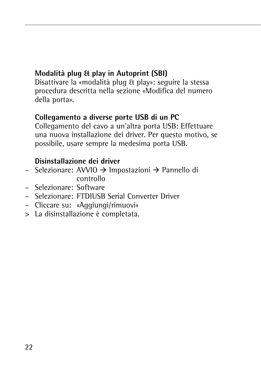### **Modalità plug & play in Autoprint (SBI)**

Disattivare la «modalità plug & play»: seguire la stessa procedura descritta nella sezione «Modifica del numero della porta».

### **Collegamento a diverse porte USB di un PC**

Collegamento del cavo a un'altra porta USB: Effettuare una nuova installazione dei driver. Per questo motivo, se possibile, usare sempre la medesima porta USB.

### **Disinstallazione dei driver**

- Selezionare: AVVIO → Impostazioni → Pannello di controllo
- Selezionare: Software
- Selezionare: FTDIUSB Serial Converter Driver
- Cliccare su: «Aggiungi/rimuovi»
- > La disinstallazione è completata.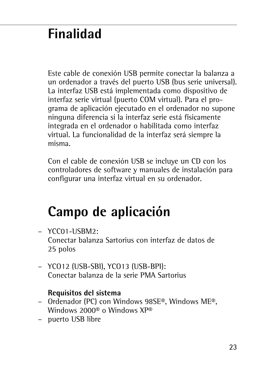# **Finalidad**

Este cable de conexión USB permite conectar la balanza a un ordenador a través del puerto USB (bus serie universal). La interfaz USB está implementada como dispositivo de interfaz serie virtual (puerto COM virtual). Para el programa de aplicación ejecutado en el ordenador no supone ninguna diferencia si la interfaz serie está físicamente integrada en el ordenador o habilitada como interfaz virtual. La funcionalidad de la interfaz será siempre la misma.

Con el cable de conexión USB se incluye un CD con los controladores de software y manuales de instalación para configurar una interfaz virtual en su ordenador.

## **Campo de aplicación**

- $-$  YCC01-USBM2: Conectar balanza Sartorius con interfaz de datos de 25 polos
- YCO12 (USB-SBI), YCO13 (USB-BPI): Conectar balanza de la serie PMA Sartorius

#### **Requisitos del sistema**

- Ordenador (PC) con Windows 98SE®, Windows ME®, Windows 2000® o Windows XP®
- puerto USB libre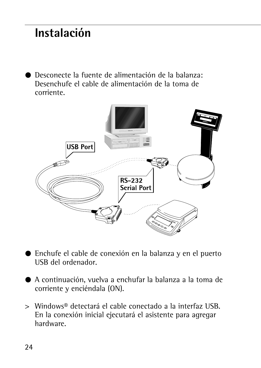## **Instalación**

§ Desconecte la fuente de alimentación de la balanza: Desenchufe el cable de alimentación de la toma de corriente.



- Enchufe el cable de conexión en la balanza y en el puerto USB del ordenador.
- § A continuación, vuelva a enchufar la balanza a la toma de corriente y enciéndala (ON).
- > Windows® detectará el cable conectado a la interfaz USB. En la conexión inicial ejecutará el asistente para agregar hardware.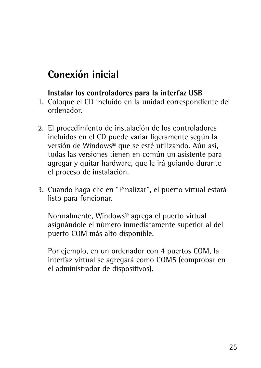### **Conexión inicial**

### **Instalar los controladores para la interfaz USB**

- 1. Coloque el CD incluido en la unidad correspondiente del ordenador.
- 2. El procedimiento de instalación de los controladores incluidos en el CD puede variar ligeramente según la versión de Windows® que se esté utilizando. Aún así, todas las versiones tienen en común un asistente para agregar y quitar hardware, que le irá guiando durante el proceso de instalación.
- 3. Cuando haga clic en "Finalizar", el puerto virtual estará listo para funcionar.

Normalmente, Windows® agrega el puerto virtual asignándole el número inmediatamente superior al del puerto COM más alto disponible.

Por ejemplo, en un ordenador con 4 puertos COM, la interfaz virtual se agregará como COM5 (comprobar en el administrador de dispositivos).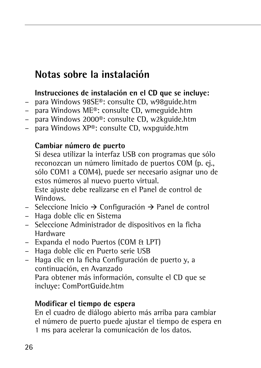### **Notas sobre la instalación**

### **Instrucciones de instalación en el CD que se incluye:**

- para Windows 98SE®: consulte CD, w98guide.htm
- para Windows ME®: consulte CD, wmeguide.htm
- para Windows 2000®: consulte CD, w2kguide.htm
- para Windows XP®: consulte CD, wxpguide.htm

### **Cambiar número de puerto**

Si desea utilizar la interfaz USB con programas que sólo reconozcan un número limitado de puertos COM (p. ej., sólo COM1 a COM4), puede ser necesario asignar uno de estos números al nuevo puerto virtual.

Este ajuste debe realizarse en el Panel de control de Windows.

- Seleccione Inicio  $\rightarrow$  Configuración  $\rightarrow$  Panel de control
- Haga doble clic en Sistema
- Seleccione Administrador de dispositivos en la ficha Hardware
- Expanda el nodo Puertos (COM & LPT)
- Haga doble clic en Puerto serie USB
- Haga clic en la ficha Configuración de puerto y, a continuación, en Avanzado Para obtener más información, consulte el CD que se incluye: ComPortGuide.htm

### **Modificar el tiempo de espera**

En el cuadro de diálogo abierto más arriba para cambiar el número de puerto puede ajustar el tiempo de espera en 1 ms para acelerar la comunicación de los datos.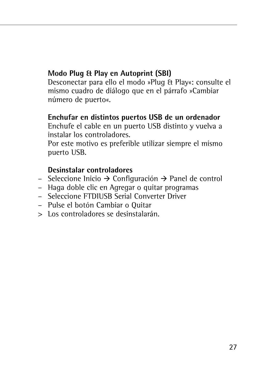### **Modo Plug & Play en Autoprint (SBI)**

Desconectar para ello el modo »Plug & Play«: consulte el mismo cuadro de diálogo que en el párrafo »Cambiar número de puerto«.

#### **Enchufar en distintos puertos USB de un ordenador**

Enchufe el cable en un puerto USB distinto y vuelva a instalar los controladores.

Por este motivo es preferible utilizar siempre el mismo puerto USB.

### **Desinstalar controladores**

- $-$  Seleccione Inicio  $\rightarrow$  Configuración  $\rightarrow$  Panel de control
- Haga doble clic en Agregar o quitar programas
- Seleccione FTDIUSB Serial Converter Driver
- Pulse el botón Cambiar o Quitar
- > Los controladores se desinstalarán.